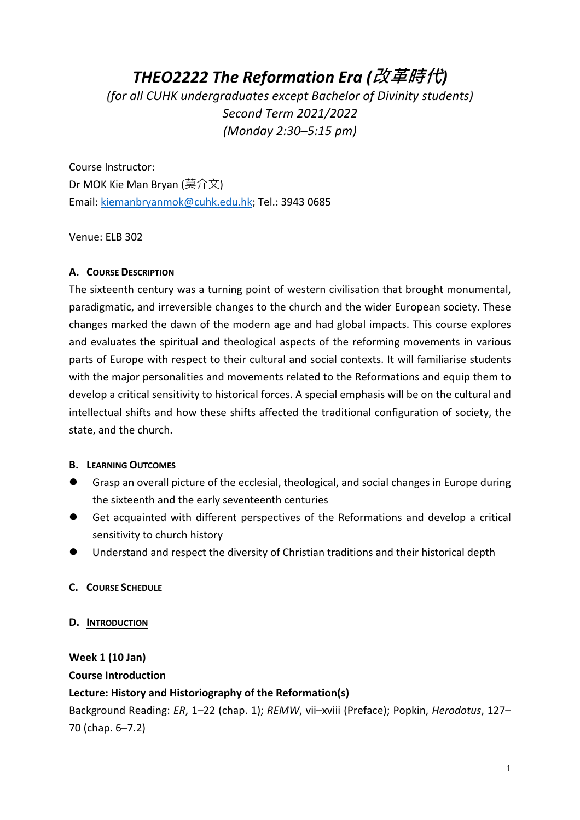# *THEO2222 The Reformation Era (***改革時代***)*

*(for all CUHK undergraduates except Bachelor of Divinity students) Second Term 2021/2022 (Monday 2:30–5:15 pm)* 

Course Instructor: Dr MOK Kie Man Bryan (莫介文) Email: kiemanbryanmok@cuhk.edu.hk; Tel.: 3943 0685

Venue: ELB 302

# **A. COURSE DESCRIPTION**

The sixteenth century was a turning point of western civilisation that brought monumental, paradigmatic, and irreversible changes to the church and the wider European society. These changes marked the dawn of the modern age and had global impacts. This course explores and evaluates the spiritual and theological aspects of the reforming movements in various parts of Europe with respect to their cultural and social contexts. It will familiarise students with the major personalities and movements related to the Reformations and equip them to develop a critical sensitivity to historical forces. A special emphasis will be on the cultural and intellectual shifts and how these shifts affected the traditional configuration of society, the state, and the church.

# **B. LEARNING OUTCOMES**

- l Grasp an overall picture of the ecclesial, theological, and social changes in Europe during the sixteenth and the early seventeenth centuries
- **•** Get acquainted with different perspectives of the Reformations and develop a critical sensitivity to church history
- l Understand and respect the diversity of Christian traditions and their historical depth

# **C. COURSE SCHEDULE**

**D. INTRODUCTION**

**Week 1 (10 Jan) Course Introduction**

# **Lecture: History and Historiography of the Reformation(s)**

Background Reading: *ER*, 1–22 (chap. 1); *REMW*, vii–xviii (Preface); Popkin, *Herodotus*, 127– 70 (chap. 6–7.2)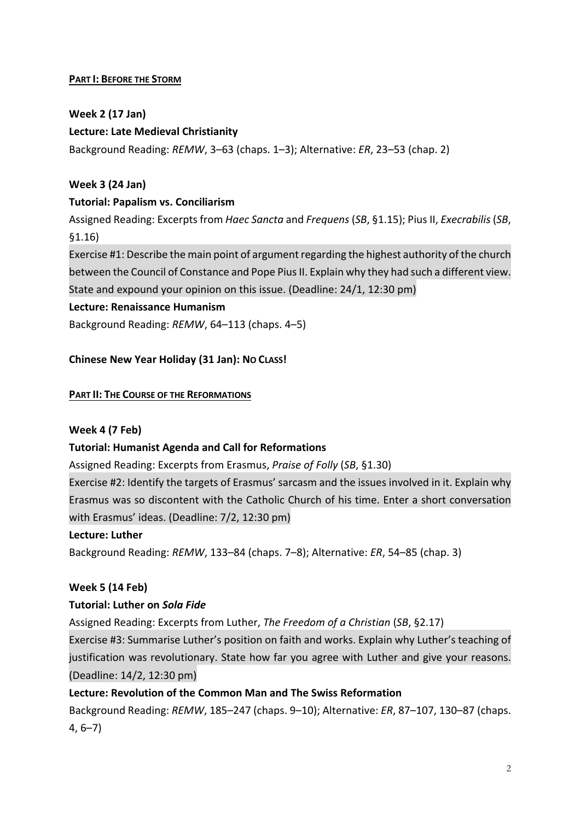# **PART I: BEFORE THE STORM**

# **Week 2 (17 Jan)**

# **Lecture: Late Medieval Christianity**

Background Reading: *REMW*, 3–63 (chaps. 1–3); Alternative: *ER*, 23–53 (chap. 2)

# **Week 3 (24 Jan)**

# **Tutorial: Papalism vs. Conciliarism**

Assigned Reading: Excerpts from *Haec Sancta* and *Frequens* (*SB*, §1.15); Pius II, *Execrabilis* (*SB*, §1.16)

Exercise #1: Describe the main point of argument regarding the highest authority of the church between the Council of Constance and Pope Pius II. Explain why they had such a different view. State and expound your opinion on this issue. (Deadline: 24/1, 12:30 pm)

## **Lecture: Renaissance Humanism**

Background Reading: *REMW*, 64–113 (chaps. 4–5)

# **Chinese New Year Holiday (31 Jan): NO CLASS!**

## **PART II: THE COURSE OF THE REFORMATIONS**

# **Week 4 (7 Feb)**

# **Tutorial: Humanist Agenda and Call for Reformations**

Assigned Reading: Excerpts from Erasmus, *Praise of Folly* (*SB*, §1.30)

Exercise #2: Identify the targets of Erasmus' sarcasm and the issues involved in it. Explain why Erasmus was so discontent with the Catholic Church of his time. Enter a short conversation with Erasmus' ideas. (Deadline: 7/2, 12:30 pm)

#### **Lecture: Luther**

Background Reading: *REMW*, 133–84 (chaps. 7–8); Alternative: *ER*, 54–85 (chap. 3)

# **Week 5 (14 Feb)**

# **Tutorial: Luther on** *Sola Fide*

Assigned Reading: Excerpts from Luther, *The Freedom of a Christian* (*SB*, §2.17)

Exercise #3: Summarise Luther's position on faith and works. Explain why Luther's teaching of justification was revolutionary. State how far you agree with Luther and give your reasons. (Deadline: 14/2, 12:30 pm)

# **Lecture: Revolution of the Common Man and The Swiss Reformation**

Background Reading: *REMW*, 185–247 (chaps. 9–10); Alternative: *ER*, 87–107, 130–87 (chaps. 4, 6–7)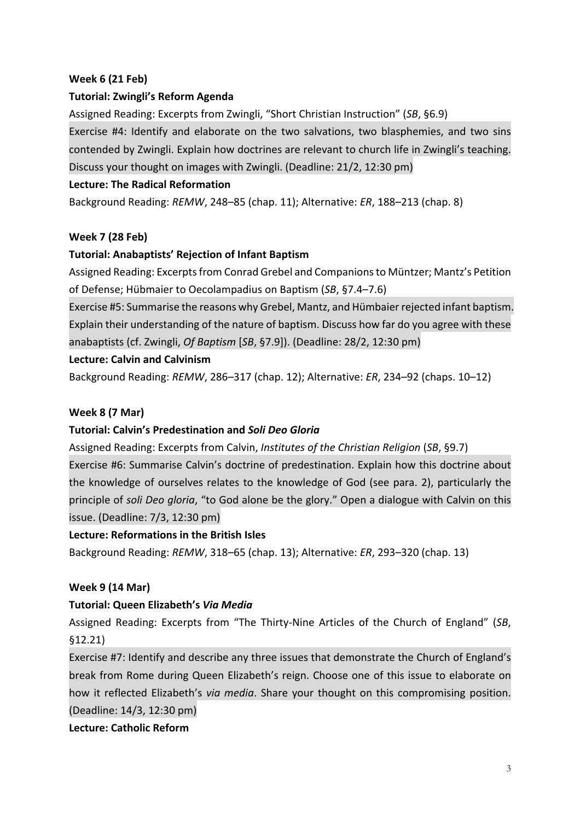# **Week 6 (21 Feb)**

# **Tutorial: Zwingli's Reform Agenda**

Assigned Reading: Excerpts from Zwingli, "Short Christian Instruction" (*SB*, §6.9)

Exercise #4: Identify and elaborate on the two salvations, two blasphemies, and two sins contended by Zwingli. Explain how doctrines are relevant to church life in Zwingli's teaching. Discuss your thought on images with Zwingli. (Deadline: 21/2, 12:30 pm)

## **Lecture: The Radical Reformation**

Background Reading: *REMW*, 248–85 (chap. 11); Alternative: *ER*, 188–213 (chap. 8)

## **Week 7 (28 Feb)**

## **Tutorial: Anabaptists' Rejection of Infant Baptism**

Assigned Reading: Excerpts from Conrad Grebel and Companions to Müntzer; Mantz's Petition of Defense; Hübmaier to Oecolampadius on Baptism (*SB*, §7.4–7.6)

Exercise #5: Summarise the reasons why Grebel, Mantz, and Hümbaier rejected infant baptism. Explain their understanding of the nature of baptism. Discuss how far do you agree with these anabaptists (cf. Zwingli, *Of Baptism* [*SB*, §7.9]). (Deadline: 28/2, 12:30 pm)

#### **Lecture: Calvin and Calvinism**

Background Reading: *REMW*, 286–317 (chap. 12); Alternative: *ER*, 234–92 (chaps. 10–12)

#### **Week 8 (7 Mar)**

# **Tutorial: Calvin's Predestination and** *Soli Deo Gloria*

Assigned Reading: Excerpts from Calvin, *Institutes of the Christian Religion* (*SB*, §9.7) Exercise #6: Summarise Calvin's doctrine of predestination. Explain how this doctrine about the knowledge of ourselves relates to the knowledge of God (see para. 2), particularly the principle of *soli Deo gloria*, "to God alone be the glory." Open a dialogue with Calvin on this issue. (Deadline: 7/3, 12:30 pm)

#### **Lecture: Reformations in the British Isles**

Background Reading: *REMW*, 318–65 (chap. 13); Alternative: *ER*, 293–320 (chap. 13)

# **Week 9 (14 Mar)**

#### **Tutorial: Queen Elizabeth's** *Via Media*

Assigned Reading: Excerpts from "The Thirty-Nine Articles of the Church of England" (*SB*, §12.21)

Exercise #7: Identify and describe any three issues that demonstrate the Church of England's break from Rome during Queen Elizabeth's reign. Choose one of this issue to elaborate on how it reflected Elizabeth's *via media*. Share your thought on this compromising position. (Deadline: 14/3, 12:30 pm)

#### **Lecture: Catholic Reform**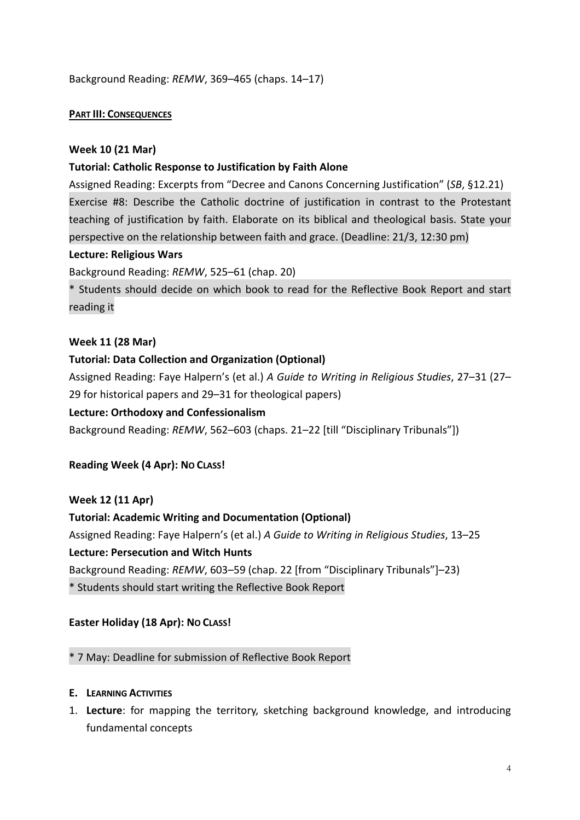Background Reading: *REMW*, 369–465 (chaps. 14–17)

## **PART III: CONSEQUENCES**

## **Week 10 (21 Mar)**

## **Tutorial: Catholic Response to Justification by Faith Alone**

Assigned Reading: Excerpts from "Decree and Canons Concerning Justification" (*SB*, §12.21) Exercise #8: Describe the Catholic doctrine of justification in contrast to the Protestant teaching of justification by faith. Elaborate on its biblical and theological basis. State your perspective on the relationship between faith and grace. (Deadline: 21/3, 12:30 pm)

#### **Lecture: Religious Wars**

Background Reading: *REMW*, 525–61 (chap. 20)

\* Students should decide on which book to read for the Reflective Book Report and start reading it

#### **Week 11 (28 Mar)**

## **Tutorial: Data Collection and Organization (Optional)**

Assigned Reading: Faye Halpern's (et al.) *A Guide to Writing in Religious Studies*, 27–31 (27– 29 for historical papers and 29–31 for theological papers)

#### **Lecture: Orthodoxy and Confessionalism**

Background Reading: *REMW*, 562–603 (chaps. 21–22 [till "Disciplinary Tribunals"])

# **Reading Week (4 Apr): NO CLASS!**

#### **Week 12 (11 Apr)**

**Tutorial: Academic Writing and Documentation (Optional)** Assigned Reading: Faye Halpern's (et al.) *A Guide to Writing in Religious Studies*, 13–25 **Lecture: Persecution and Witch Hunts** Background Reading: *REMW*, 603–59 (chap. 22 [from "Disciplinary Tribunals"]–23) \* Students should start writing the Reflective Book Report

# **Easter Holiday (18 Apr): NO CLASS!**

#### \* 7 May: Deadline for submission of Reflective Book Report

- **E. LEARNING ACTIVITIES**
- 1. **Lecture**: for mapping the territory, sketching background knowledge, and introducing fundamental concepts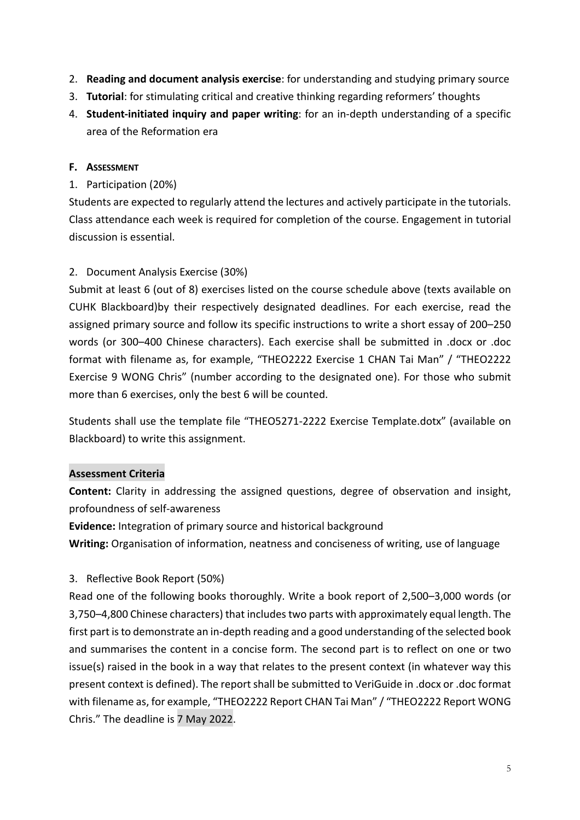- 2. **Reading and document analysis exercise**: for understanding and studying primary source
- 3. **Tutorial**: for stimulating critical and creative thinking regarding reformers' thoughts
- 4. **Student-initiated inquiry and paper writing**: for an in-depth understanding of a specific area of the Reformation era

# **F. ASSESSMENT**

# 1. Participation (20%)

Students are expected to regularly attend the lectures and actively participate in the tutorials. Class attendance each week is required for completion of the course. Engagement in tutorial discussion is essential.

# 2. Document Analysis Exercise (30%)

Submit at least 6 (out of 8) exercises listed on the course schedule above (texts available on CUHK Blackboard)by their respectively designated deadlines. For each exercise, read the assigned primary source and follow its specific instructions to write a short essay of 200–250 words (or 300–400 Chinese characters). Each exercise shall be submitted in .docx or .doc format with filename as, for example, "THEO2222 Exercise 1 CHAN Tai Man" / "THEO2222 Exercise 9 WONG Chris" (number according to the designated one). For those who submit more than 6 exercises, only the best 6 will be counted.

Students shall use the template file "THEO5271-2222 Exercise Template.dotx" (available on Blackboard) to write this assignment.

# **Assessment Criteria**

**Content:** Clarity in addressing the assigned questions, degree of observation and insight, profoundness of self-awareness

**Evidence:** Integration of primary source and historical background

**Writing:** Organisation of information, neatness and conciseness of writing, use of language

# 3. Reflective Book Report (50%)

Read one of the following books thoroughly. Write a book report of 2,500–3,000 words (or 3,750–4,800 Chinese characters) that includes two parts with approximately equal length. The first part is to demonstrate an in-depth reading and a good understanding of the selected book and summarises the content in a concise form. The second part is to reflect on one or two issue(s) raised in the book in a way that relates to the present context (in whatever way this present context is defined). The report shall be submitted to VeriGuide in .docx or .doc format with filename as, for example, "THEO2222 Report CHAN Tai Man" / "THEO2222 Report WONG Chris." The deadline is 7 May 2022.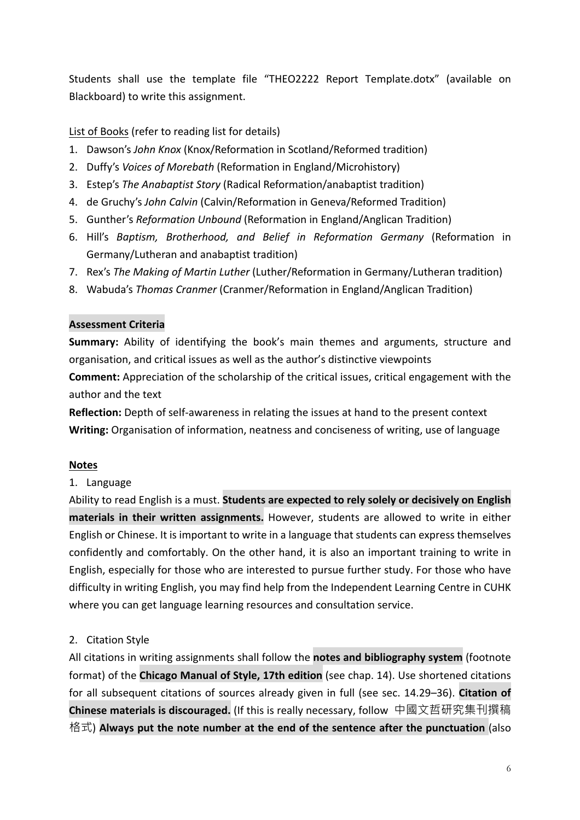Students shall use the template file "THEO2222 Report Template.dotx" (available on Blackboard) to write this assignment.

# List of Books (refer to reading list for details)

- 1. Dawson's *John Knox* (Knox/Reformation in Scotland/Reformed tradition)
- 2. Duffy's *Voices of Morebath* (Reformation in England/Microhistory)
- 3. Estep's *The Anabaptist Story* (Radical Reformation/anabaptist tradition)
- 4. de Gruchy's *John Calvin* (Calvin/Reformation in Geneva/Reformed Tradition)
- 5. Gunther's *Reformation Unbound* (Reformation in England/Anglican Tradition)
- 6. Hill's *Baptism, Brotherhood, and Belief in Reformation Germany* (Reformation in Germany/Lutheran and anabaptist tradition)
- 7. Rex's *The Making of Martin Luther* (Luther/Reformation in Germany/Lutheran tradition)
- 8. Wabuda's *Thomas Cranmer* (Cranmer/Reformation in England/Anglican Tradition)

## **Assessment Criteria**

**Summary:** Ability of identifying the book's main themes and arguments, structure and organisation, and critical issues as well as the author's distinctive viewpoints **Comment:** Appreciation of the scholarship of the critical issues, critical engagement with the author and the text

**Reflection:** Depth of self-awareness in relating the issues at hand to the present context **Writing:** Organisation of information, neatness and conciseness of writing, use of language

# **Notes**

# 1. Language

Ability to read English is a must. **Students are expected to rely solely or decisively on English materials in their written assignments.** However, students are allowed to write in either English or Chinese. It is important to write in a language that students can express themselves confidently and comfortably. On the other hand, it is also an important training to write in English, especially for those who are interested to pursue further study. For those who have difficulty in writing English, you may find help from the Independent Learning Centre in CUHK where you can get language learning resources and consultation service.

# 2. Citation Style

All citations in writing assignments shall follow the **notes and bibliography system** (footnote format) of the **Chicago Manual of Style, 17th edition** (see chap. 14). Use shortened citations for all subsequent citations of sources already given in full (see sec. 14.29–36). **Citation of Chinese materials is discouraged.** (If this is really necessary, follow 中國文哲研究集刊撰稿 格式) **Always put the note number at the end of the sentence after the punctuation** (also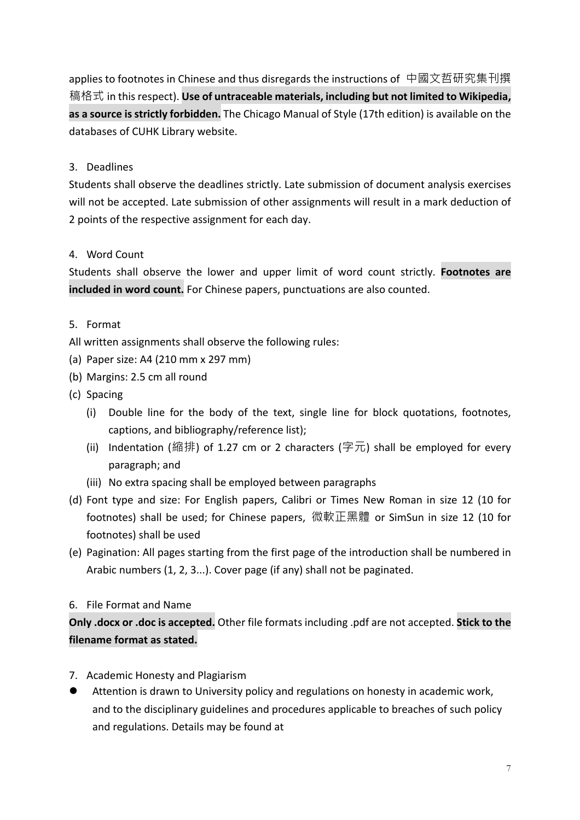applies to footnotes in Chinese and thus disregards the instructions of 中國文哲研究集刊撰 稿格式 in this respect). **Use of untraceable materials, including but not limited to Wikipedia, as a source is strictly forbidden.** The Chicago Manual of Style (17th edition) is available on the databases of CUHK Library website.

# 3. Deadlines

Students shall observe the deadlines strictly. Late submission of document analysis exercises will not be accepted. Late submission of other assignments will result in a mark deduction of 2 points of the respective assignment for each day.

# 4. Word Count

Students shall observe the lower and upper limit of word count strictly. **Footnotes are included in word count.** For Chinese papers, punctuations are also counted.

# 5. Format

All written assignments shall observe the following rules:

- (a) Paper size: A4 (210 mm x 297 mm)
- (b) Margins: 2.5 cm all round
- (c) Spacing
	- (i) Double line for the body of the text, single line for block quotations, footnotes, captions, and bibliography/reference list);
	- (ii) Indentation (縮排) of 1.27 cm or 2 characters (字元) shall be employed for every paragraph; and
	- (iii) No extra spacing shall be employed between paragraphs
- (d) Font type and size: For English papers, Calibri or Times New Roman in size 12 (10 for footnotes) shall be used; for Chinese papers, 微軟正黑體 or SimSun in size 12 (10 for footnotes) shall be used
- (e) Pagination: All pages starting from the first page of the introduction shall be numbered in Arabic numbers (1, 2, 3...). Cover page (if any) shall not be paginated.

# 6. File Format and Name

**Only .docx or .doc is accepted.** Other file formats including .pdf are not accepted. **Stick to the filename format as stated.**

- 7. Academic Honesty and Plagiarism
- l Attention is drawn to University policy and regulations on honesty in academic work, and to the disciplinary guidelines and procedures applicable to breaches of such policy and regulations. Details may be found at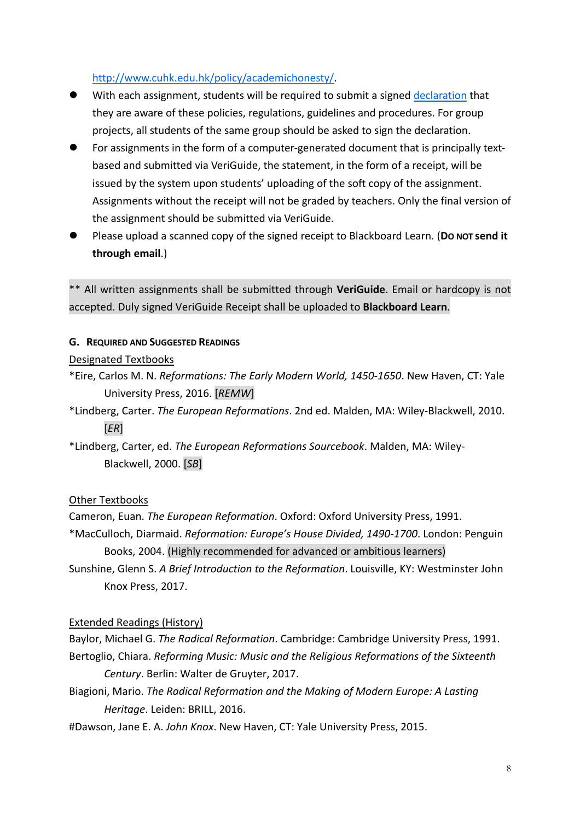# http://www.cuhk.edu.hk/policy/academichonesty/.

- With each assignment, students will be required to submit a signed declaration that they are aware of these policies, regulations, guidelines and procedures. For group projects, all students of the same group should be asked to sign the declaration.
- For assignments in the form of a computer-generated document that is principally textbased and submitted via VeriGuide, the statement, in the form of a receipt, will be issued by the system upon students' uploading of the soft copy of the assignment. Assignments without the receipt will not be graded by teachers. Only the final version of the assignment should be submitted via VeriGuide.
- l Please upload a scanned copy of the signed receipt to Blackboard Learn. (**DO NOT send it through email**.)

\*\* All written assignments shall be submitted through **VeriGuide**. Email or hardcopy is not accepted. Duly signed VeriGuide Receipt shall be uploaded to **Blackboard Learn**.

## **G. REQUIRED AND SUGGESTED READINGS**

## Designated Textbooks

- \*Eire, Carlos M. N. *Reformations: The Early Modern World, 1450-1650*. New Haven, CT: Yale University Press, 2016. [*REMW*]
- \*Lindberg, Carter. *The European Reformations*. 2nd ed. Malden, MA: Wiley-Blackwell, 2010. [*ER*]
- \*Lindberg, Carter, ed. *The European Reformations Sourcebook*. Malden, MA: Wiley-Blackwell, 2000. [*SB*]

# Other Textbooks

- Cameron, Euan. *The European Reformation*. Oxford: Oxford University Press, 1991.
- \*MacCulloch, Diarmaid. *Reformation: Europe's House Divided, 1490-1700*. London: Penguin Books, 2004. (Highly recommended for advanced or ambitious learners)
- Sunshine, Glenn S. *A Brief Introduction to the Reformation*. Louisville, KY: Westminster John Knox Press, 2017.

# Extended Readings (History)

Baylor, Michael G. *The Radical Reformation*. Cambridge: Cambridge University Press, 1991. Bertoglio, Chiara. *Reforming Music: Music and the Religious Reformations of the Sixteenth* 

# *Century*. Berlin: Walter de Gruyter, 2017.

- Biagioni, Mario. *The Radical Reformation and the Making of Modern Europe: A Lasting Heritage*. Leiden: BRILL, 2016.
- #Dawson, Jane E. A. *John Knox*. New Haven, CT: Yale University Press, 2015.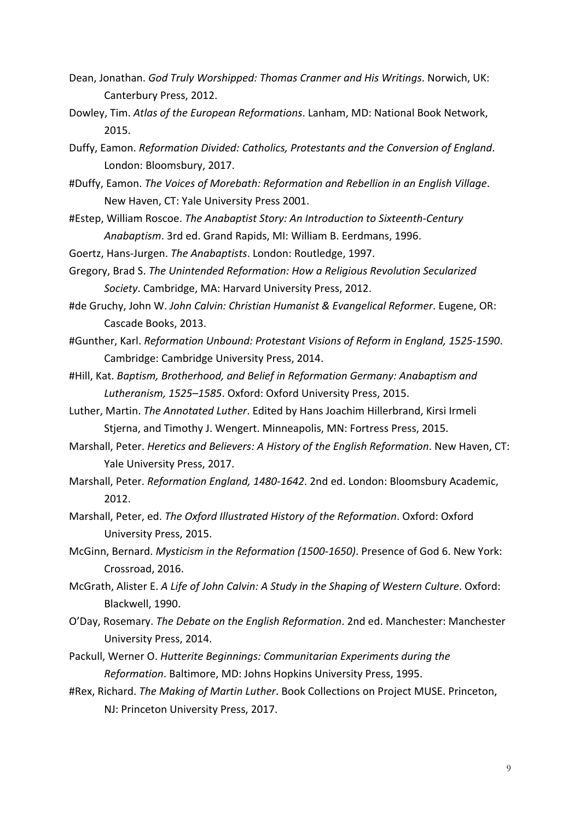- Dean, Jonathan. *God Truly Worshipped: Thomas Cranmer and His Writings*. Norwich, UK: Canterbury Press, 2012.
- Dowley, Tim. *Atlas of the European Reformations*. Lanham, MD: National Book Network, 2015.
- Duffy, Eamon. *Reformation Divided: Catholics, Protestants and the Conversion of England*. London: Bloomsbury, 2017.
- #Duffy, Eamon. *The Voices of Morebath: Reformation and Rebellion in an English Village*. New Haven, CT: Yale University Press 2001.
- #Estep, William Roscoe. *The Anabaptist Story: An Introduction to Sixteenth-Century Anabaptism*. 3rd ed. Grand Rapids, MI: William B. Eerdmans, 1996.
- Goertz, Hans-Jurgen. *The Anabaptists*. London: Routledge, 1997.
- Gregory, Brad S. *The Unintended Reformation: How a Religious Revolution Secularized Society*. Cambridge, MA: Harvard University Press, 2012.
- #de Gruchy, John W. *John Calvin: Christian Humanist & Evangelical Reformer*. Eugene, OR: Cascade Books, 2013.
- #Gunther, Karl. *Reformation Unbound: Protestant Visions of Reform in England, 1525-1590*. Cambridge: Cambridge University Press, 2014.
- #Hill, Kat. *Baptism, Brotherhood, and Belief in Reformation Germany: Anabaptism and Lutheranism, 1525–1585*. Oxford: Oxford University Press, 2015.
- Luther, Martin. *The Annotated Luther*. Edited by Hans Joachim Hillerbrand, Kirsi Irmeli Stjerna, and Timothy J. Wengert. Minneapolis, MN: Fortress Press, 2015.
- Marshall, Peter. *Heretics and Believers: A History of the English Reformation*. New Haven, CT: Yale University Press, 2017.
- Marshall, Peter. *Reformation England, 1480-1642*. 2nd ed. London: Bloomsbury Academic, 2012.
- Marshall, Peter, ed. *The Oxford Illustrated History of the Reformation*. Oxford: Oxford University Press, 2015.
- McGinn, Bernard. *Mysticism in the Reformation (1500-1650)*. Presence of God 6. New York: Crossroad, 2016.
- McGrath, Alister E. *A Life of John Calvin: A Study in the Shaping of Western Culture*. Oxford: Blackwell, 1990.
- O'Day, Rosemary. *The Debate on the English Reformation*. 2nd ed. Manchester: Manchester University Press, 2014.
- Packull, Werner O. *Hutterite Beginnings: Communitarian Experiments during the Reformation*. Baltimore, MD: Johns Hopkins University Press, 1995.
- #Rex, Richard. *The Making of Martin Luther*. Book Collections on Project MUSE. Princeton, NJ: Princeton University Press, 2017.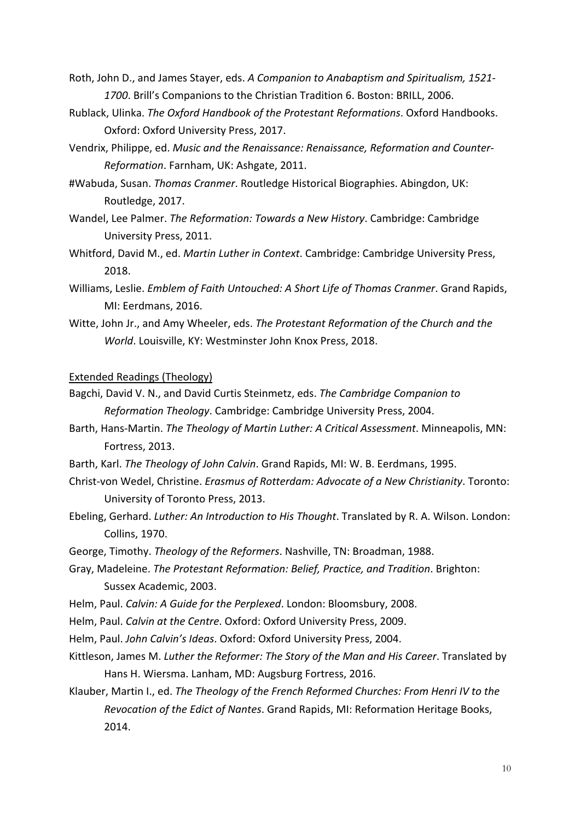- Roth, John D., and James Stayer, eds. *A Companion to Anabaptism and Spiritualism, 1521- 1700*. Brill's Companions to the Christian Tradition 6. Boston: BRILL, 2006.
- Rublack, Ulinka. *The Oxford Handbook of the Protestant Reformations*. Oxford Handbooks. Oxford: Oxford University Press, 2017.
- Vendrix, Philippe, ed. *Music and the Renaissance: Renaissance, Reformation and Counter-Reformation*. Farnham, UK: Ashgate, 2011.
- #Wabuda, Susan. *Thomas Cranmer*. Routledge Historical Biographies. Abingdon, UK: Routledge, 2017.
- Wandel, Lee Palmer. *The Reformation: Towards a New History*. Cambridge: Cambridge University Press, 2011.
- Whitford, David M., ed. *Martin Luther in Context*. Cambridge: Cambridge University Press, 2018.
- Williams, Leslie. *Emblem of Faith Untouched: A Short Life of Thomas Cranmer*. Grand Rapids, MI: Eerdmans, 2016.
- Witte, John Jr., and Amy Wheeler, eds. *The Protestant Reformation of the Church and the World*. Louisville, KY: Westminster John Knox Press, 2018.

#### Extended Readings (Theology)

- Bagchi, David V. N., and David Curtis Steinmetz, eds. *The Cambridge Companion to Reformation Theology*. Cambridge: Cambridge University Press, 2004.
- Barth, Hans-Martin. *The Theology of Martin Luther: A Critical Assessment*. Minneapolis, MN: Fortress, 2013.
- Barth, Karl. *The Theology of John Calvin*. Grand Rapids, MI: W. B. Eerdmans, 1995.
- Christ-von Wedel, Christine. *Erasmus of Rotterdam: Advocate of a New Christianity*. Toronto: University of Toronto Press, 2013.
- Ebeling, Gerhard. *Luther: An Introduction to His Thought*. Translated by R. A. Wilson. London: Collins, 1970.
- George, Timothy. *Theology of the Reformers*. Nashville, TN: Broadman, 1988.
- Gray, Madeleine. *The Protestant Reformation: Belief, Practice, and Tradition*. Brighton: Sussex Academic, 2003.
- Helm, Paul. *Calvin: A Guide for the Perplexed*. London: Bloomsbury, 2008.
- Helm, Paul. *Calvin at the Centre*. Oxford: Oxford University Press, 2009.
- Helm, Paul. *John Calvin's Ideas*. Oxford: Oxford University Press, 2004.
- Kittleson, James M. *Luther the Reformer: The Story of the Man and His Career*. Translated by Hans H. Wiersma. Lanham, MD: Augsburg Fortress, 2016.
- Klauber, Martin I., ed. *The Theology of the French Reformed Churches: From Henri IV to the Revocation of the Edict of Nantes*. Grand Rapids, MI: Reformation Heritage Books, 2014.